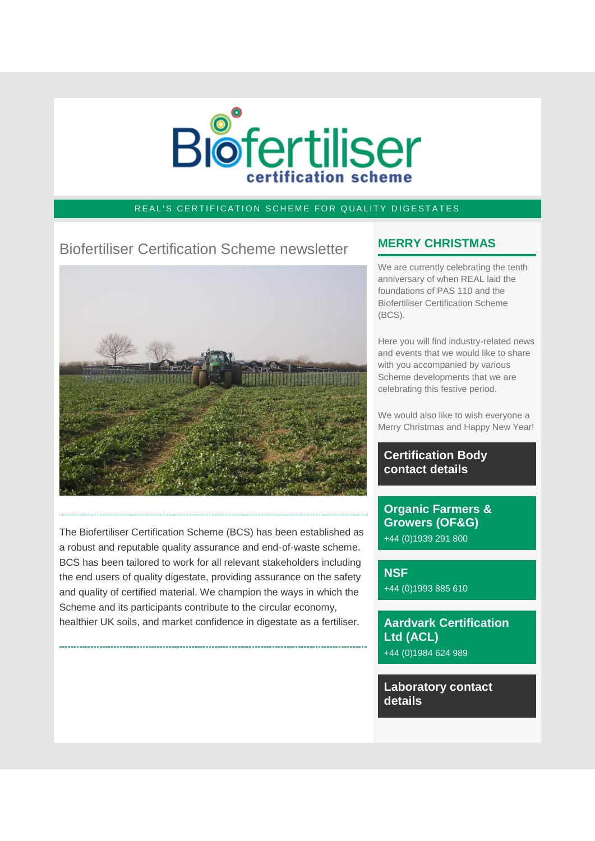

### REAL'S CERTIFICATION SCHEME FOR QUALITY DIGESTATES

# Biofertiliser Certification Scheme newsletter



The Biofertiliser Certification Scheme (BCS) has been established as a robust and reputable quality assurance and end-of-waste scheme. BCS has been tailored to work for all relevant stakeholders including the end users of quality digestate, providing assurance on the safety and quality of certified material. We champion the ways in which the Scheme and its participants contribute to the circular economy, healthier UK soils, and market confidence in digestate as a fertiliser.

# **MERRY CHRISTMAS**

We are currently celebrating the tenth anniversary of when REAL laid the foundations of PAS 110 and the Biofertiliser Certification Scheme (BCS).

Here you will find industry-related news and events that we would like to share with you accompanied by various Scheme developments that we are celebrating this festive period.

We would also like to wish everyone a Merry Christmas and Happy New Year!

### **Certification Body contact details**

**Organic Farmers & Growers (OF&G)** +44 (0)1939 291 800

**NSF** +44 (0)1993 885 610

**Aardvark Certification Ltd (ACL)** +44 (0)1984 624 989

**Laboratory contact details**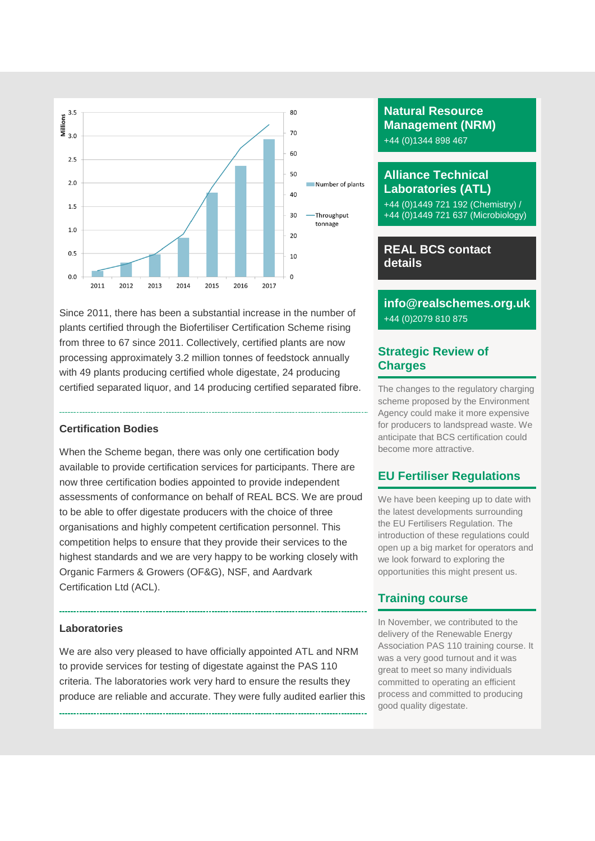

Since 2011, there has been a substantial increase in the number of plants certified through the Biofertiliser Certification Scheme rising from three to 67 since 2011. Collectively, certified plants are now processing approximately 3.2 million tonnes of feedstock annually with 49 plants producing certified whole digestate, 24 producing certified separated liquor, and 14 producing certified separated fibre.

#### **Certification Bodies**

When the Scheme began, there was only one certification body available to provide certification services for participants. There are now three certification bodies appointed to provide independent assessments of conformance on behalf of REAL BCS. We are proud to be able to offer digestate producers with the choice of three organisations and highly competent certification personnel. This competition helps to ensure that they provide their services to the highest standards and we are very happy to be working closely with Organic Farmers & Growers (OF&G), NSF, and Aardvark Certification Ltd (ACL).

#### **Laboratories**

We are also very pleased to have officially appointed ATL and NRM to provide services for testing of digestate against the PAS 110 criteria. The laboratories work very hard to ensure the results they produce are reliable and accurate. They were fully audited earlier this

# **Natural Resource Management (NRM)** +44 (0)1344 898 467

# **Alliance Technical Laboratories (ATL)**

+44 (0)1449 721 192 (Chemistry) / +44 (0)1449 721 637 (Microbiology)

# **REAL BCS contact details**

# **info@realschemes.org.uk** +44 (0)2079 810 875

### **Strategic Review of Charges**

The changes to the regulatory charging scheme proposed by the Environment Agency could make it more expensive for producers to landspread waste. We anticipate that BCS certification could become more attractive.

# **EU Fertiliser Regulations**

We have been keeping up to date with the latest developments surrounding the EU Fertilisers Regulation. The introduction of these regulations could open up a big market for operators and we look forward to exploring the opportunities this might present us.

# **Training course**

In November, we contributed to the delivery of the Renewable Energy Association PAS 110 training course. It was a very good turnout and it was great to meet so many individuals committed to operating an efficient process and committed to producing good quality digestate.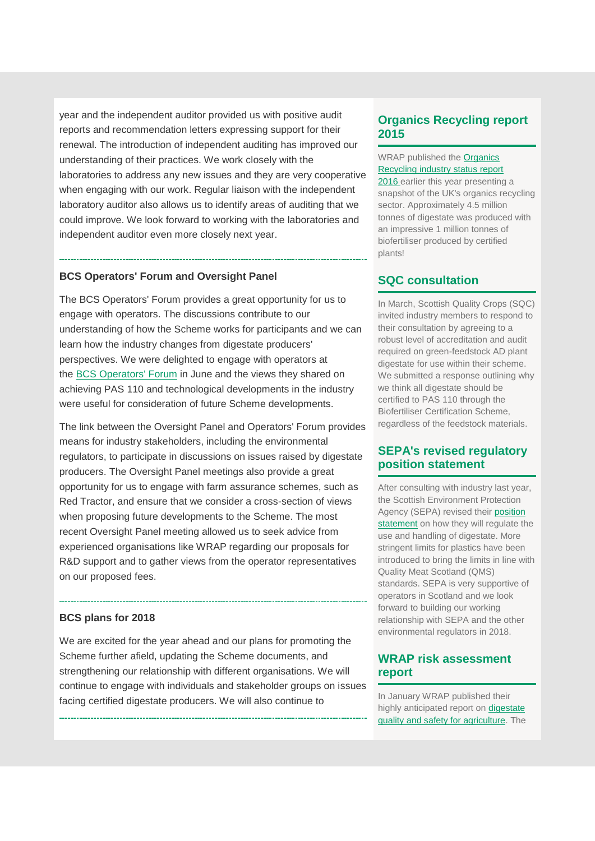year and the independent auditor provided us with positive audit reports and recommendation letters expressing support for their renewal. The introduction of independent auditing has improved our understanding of their practices. We work closely with the laboratories to address any new issues and they are very cooperative when engaging with our work. Regular liaison with the independent laboratory auditor also allows us to identify areas of auditing that we could improve. We look forward to working with the laboratories and independent auditor even more closely next year.

#### **BCS Operators' Forum and Oversight Panel**

The BCS Operators' Forum provides a great opportunity for us to engage with operators. The discussions contribute to our understanding of how the Scheme works for participants and we can learn how the industry changes from digestate producers' perspectives. We were delighted to engage with operators at the [BCS Operators' Forum](http://email.sav.co.uk/t/r-l-jrtkjun-l-d/) in June and the views they shared on achieving PAS 110 and technological developments in the industry were useful for consideration of future Scheme developments.

The link between the Oversight Panel and Operators' Forum provides means for industry stakeholders, including the environmental regulators, to participate in discussions on issues raised by digestate producers. The Oversight Panel meetings also provide a great opportunity for us to engage with farm assurance schemes, such as Red Tractor, and ensure that we consider a cross-section of views when proposing future developments to the Scheme. The most recent Oversight Panel meeting allowed us to seek advice from experienced organisations like WRAP regarding our proposals for R&D support and to gather views from the operator representatives on our proposed fees.

#### **BCS plans for 2018**

We are excited for the year ahead and our plans for promoting the Scheme further afield, updating the Scheme documents, and strengthening our relationship with different organisations. We will continue to engage with individuals and stakeholder groups on issues facing certified digestate producers. We will also continue to

#### **Organics Recycling report 2015**

WRAP published the Organics [Recycling industry status report](http://email.sav.co.uk/t/r-l-jrtkjun-l-h/)  [2016](http://email.sav.co.uk/t/r-l-jrtkjun-l-h/) earlier this year presenting a snapshot of the UK's organics recycling sector. Approximately 4.5 million tonnes of digestate was produced with an impressive 1 million tonnes of biofertiliser produced by certified plants!

#### **SQC consultation**

In March, Scottish Quality Crops (SQC) invited industry members to respond to their consultation by agreeing to a robust level of accreditation and audit required on green-feedstock AD plant digestate for use within their scheme. We submitted a response outlining why we think all digestate should be certified to PAS 110 through the Biofertiliser Certification Scheme, regardless of the feedstock materials.

### **SEPA's revised regulatory position statement**

After consulting with industry last year, the Scottish Environment Protection Agency (SEPA) revised their [position](http://email.sav.co.uk/t/r-l-jrtkjun-l-k/)  [statement](http://email.sav.co.uk/t/r-l-jrtkjun-l-k/) on how they will regulate the use and handling of digestate. More stringent limits for plastics have been introduced to bring the limits in line with Quality Meat Scotland (QMS) standards. SEPA is very supportive of operators in Scotland and we look forward to building our working relationship with SEPA and the other environmental regulators in 2018.

### **WRAP risk assessment report**

In January WRAP published their highly anticipated report on [digestate](http://email.sav.co.uk/t/r-l-jrtkjun-l-u/)  [quality and safety for agriculture.](http://email.sav.co.uk/t/r-l-jrtkjun-l-u/) The